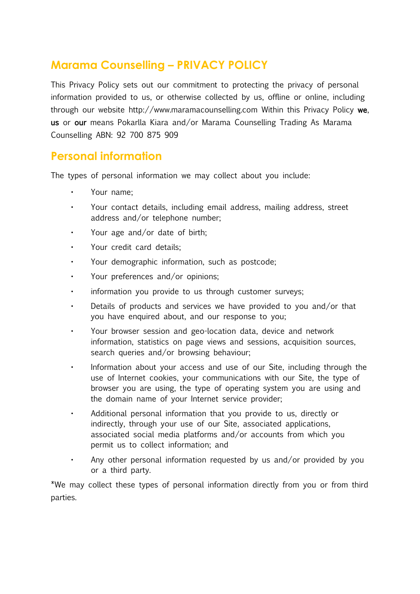# **Marama Counselling – PRIVACY POLICY**

This Privacy Policy sets out our commitment to protecting the privacy of personal information provided to us, or otherwise collected by us, offline or online, including through our website http://www.maramacounselling.com Within this Privacy Policy we, us or our means Pokarlla Kiara and/or Marama Counselling Trading As Marama Counselling ABN: 92 700 875 909

# **Personal information**

The types of personal information we may collect about you include:

- Your name;
- Your contact details, including email address, mailing address, street address and/or telephone number;
- Your age and/or date of birth;
- Your credit card details;
- Your demographic information, such as postcode;
- Your preferences and/or opinions;
- $\cdot$  information you provide to us through customer surveys;
- Details of products and services we have provided to you and/or that you have enquired about, and our response to you;
- Your browser session and geo-location data, device and network information, statistics on page views and sessions, acquisition sources, search queries and/or browsing behaviour;
- Information about your access and use of our Site, including through the use of Internet cookies, your communications with our Site, the type of browser you are using, the type of operating system you are using and the domain name of your Internet service provider;
- Additional personal information that you provide to us, directly or indirectly, through your use of our Site, associated applications, associated social media platforms and/or accounts from which you permit us to collect information; and
- Any other personal information requested by us and/or provided by you or a third party.

\*We may collect these types of personal information directly from you or from third parties.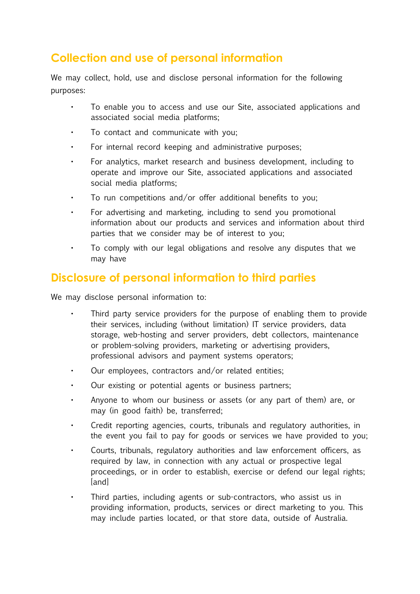# **Collection and use of personal information**

We may collect, hold, use and disclose personal information for the following purposes:

- To enable you to access and use our Site, associated applications and associated social media platforms;
- $\cdot$  To contact and communicate with you:
- For internal record keeping and administrative purposes;
- For analytics, market research and business development, including to operate and improve our Site, associated applications and associated social media platforms;
- To run competitions and/or offer additional benefits to you;
- For advertising and marketing, including to send you promotional information about our products and services and information about third parties that we consider may be of interest to you;
- To comply with our legal obligations and resolve any disputes that we may have

# **Disclosure of personal information to third parties**

We may disclose personal information to:

- Third party service providers for the purpose of enabling them to provide their services, including (without limitation) IT service providers, data storage, web-hosting and server providers, debt collectors, maintenance or problem-solving providers, marketing or advertising providers, professional advisors and payment systems operators;
- Our employees, contractors and/or related entities;
- Our existing or potential agents or business partners;
- Anyone to whom our business or assets (or any part of them) are, or may (in good faith) be, transferred;
- Credit reporting agencies, courts, tribunals and regulatory authorities, in the event you fail to pay for goods or services we have provided to you;
- Courts, tribunals, regulatory authorities and law enforcement officers, as required by law, in connection with any actual or prospective legal proceedings, or in order to establish, exercise or defend our legal rights; [and]
- Third parties, including agents or sub-contractors, who assist us in providing information, products, services or direct marketing to you. This may include parties located, or that store data, outside of Australia.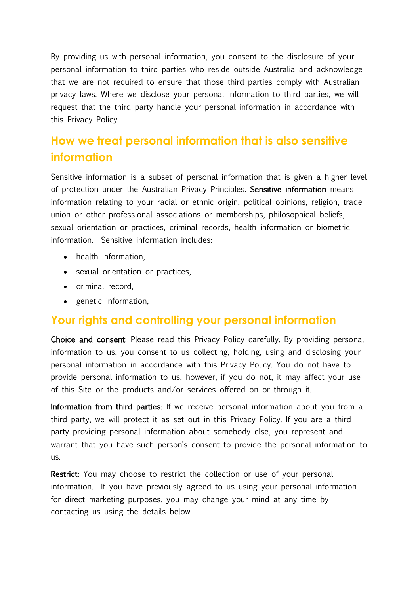By providing us with personal information, you consent to the disclosure of your personal information to third parties who reside outside Australia and acknowledge that we are not required to ensure that those third parties comply with Australian privacy laws. Where we disclose your personal information to third parties, we will request that the third party handle your personal information in accordance with this Privacy Policy.

# **How we treat personal information that is also sensitive information**

Sensitive information is a subset of personal information that is given a higher level of protection under the Australian Privacy Principles. Sensitive information means information relating to your racial or ethnic origin, political opinions, religion, trade union or other professional associations or memberships, philosophical beliefs, sexual orientation or practices, criminal records, health information or biometric information. Sensitive information includes:

- health information,
- sexual orientation or practices,
- criminal record,
- genetic information,

#### **Your rights and controlling your personal information**

Choice and consent: Please read this Privacy Policy carefully. By providing personal information to us, you consent to us collecting, holding, using and disclosing your personal information in accordance with this Privacy Policy. You do not have to provide personal information to us, however, if you do not, it may affect your use of this Site or the products and/or services offered on or through it.

Information from third parties: If we receive personal information about you from a third party, we will protect it as set out in this Privacy Policy. If you are a third party providing personal information about somebody else, you represent and warrant that you have such person's consent to provide the personal information to us.

Restrict: You may choose to restrict the collection or use of your personal information. If you have previously agreed to us using your personal information for direct marketing purposes, you may change your mind at any time by contacting us using the details below.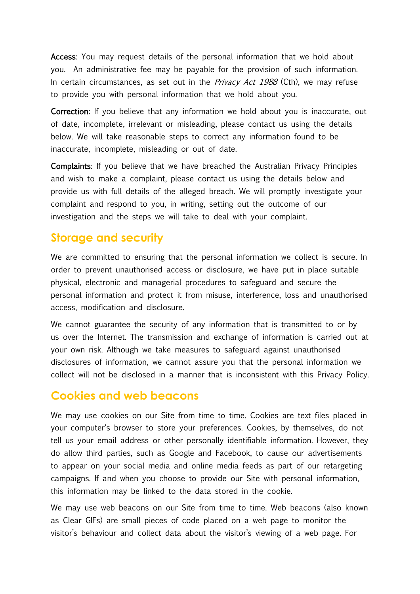Access: You may request details of the personal information that we hold about you. An administrative fee may be payable for the provision of such information. In certain circumstances, as set out in the *Privacy Act 1988* (Cth), we may refuse to provide you with personal information that we hold about you.

Correction: If you believe that any information we hold about you is inaccurate, out of date, incomplete, irrelevant or misleading, please contact us using the details below. We will take reasonable steps to correct any information found to be inaccurate, incomplete, misleading or out of date.

Complaints: If you believe that we have breached the Australian Privacy Principles and wish to make a complaint, please contact us using the details below and provide us with full details of the alleged breach. We will promptly investigate your complaint and respond to you, in writing, setting out the outcome of our investigation and the steps we will take to deal with your complaint.

#### **Storage and security**

We are committed to ensuring that the personal information we collect is secure. In order to prevent unauthorised access or disclosure, we have put in place suitable physical, electronic and managerial procedures to safeguard and secure the personal information and protect it from misuse, interference, loss and unauthorised access, modification and disclosure.

We cannot guarantee the security of any information that is transmitted to or by us over the Internet. The transmission and exchange of information is carried out at your own risk. Although we take measures to safeguard against unauthorised disclosures of information, we cannot assure you that the personal information we collect will not be disclosed in a manner that is inconsistent with this Privacy Policy.

#### **Cookies and web beacons**

We may use cookies on our Site from time to time. Cookies are text files placed in your computer's browser to store your preferences. Cookies, by themselves, do not tell us your email address or other personally identifiable information. However, they do allow third parties, such as Google and Facebook, to cause our advertisements to appear on your social media and online media feeds as part of our retargeting campaigns. If and when you choose to provide our Site with personal information, this information may be linked to the data stored in the cookie.

We may use web beacons on our Site from time to time. Web beacons (also known as Clear GIFs) are small pieces of code placed on a web page to monitor the visitor's behaviour and collect data about the visitor's viewing of a web page. For